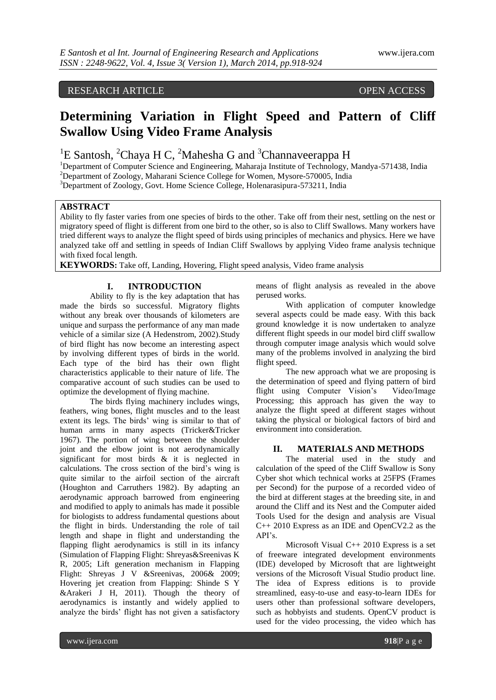# RESEARCH ARTICLE OPEN ACCESS

# **Determining Variation in Flight Speed and Pattern of Cliff Swallow Using Video Frame Analysis**

<sup>1</sup>E Santosh, <sup>2</sup>Chaya H C, <sup>2</sup>Mahesha G and <sup>3</sup>Channaveerappa H

<sup>1</sup>Department of Computer Science and Engineering, Maharaja Institute of Technology, Mandya-571438, India <sup>2</sup>Department of Zoology, Maharani Science College for Women, Mysore-570005, India

<sup>3</sup>Department of Zoology, Govt. Home Science College, Holenarasipura-573211, India

#### **ABSTRACT**

Ability to fly faster varies from one species of birds to the other. Take off from their nest, settling on the nest or migratory speed of flight is different from one bird to the other, so is also to Cliff Swallows. Many workers have tried different ways to analyze the flight speed of birds using principles of mechanics and physics. Here we have analyzed take off and settling in speeds of Indian Cliff Swallows by applying Video frame analysis technique with fixed focal length.

**KEYWORDS:** Take off, Landing, Hovering, Flight speed analysis, Video frame analysis

### **I. INTRODUCTION**

Ability to fly is the key adaptation that has made the birds so successful. Migratory flights without any break over thousands of kilometers are unique and surpass the performance of any man made vehicle of a similar size (A Hedenstrom, 2002).Study of bird flight has now become an interesting aspect by involving different types of birds in the world. Each type of the bird has their own flight characteristics applicable to their nature of life. The comparative account of such studies can be used to optimize the development of flying machine.

The birds flying machinery includes wings, feathers, wing bones, flight muscles and to the least extent its legs. The birds' wing is similar to that of human arms in many aspects (Tricker&Tricker 1967). The portion of wing between the shoulder joint and the elbow joint is not aerodynamically significant for most birds & it is neglected in calculations. The cross section of the bird's wing is quite similar to the airfoil section of the aircraft (Houghton and Carruthers 1982). By adapting an aerodynamic approach barrowed from engineering and modified to apply to animals has made it possible for biologists to address fundamental questions about the flight in birds. Understanding the role of tail length and shape in flight and understanding the flapping flight aerodynamics is still in its infancy (Simulation of Flapping Flight: Shreyas&Sreenivas K R, 2005; Lift generation mechanism in Flapping Flight: Shreyas J V &Sreenivas, 2006& 2009; Hovering jet creation from Flapping: Shinde S Y &Arakeri J H, 2011). Though the theory of aerodynamics is instantly and widely applied to analyze the birds' flight has not given a satisfactory

means of flight analysis as revealed in the above perused works.

With application of computer knowledge several aspects could be made easy. With this back ground knowledge it is now undertaken to analyze different flight speeds in our model bird cliff swallow through computer image analysis which would solve many of the problems involved in analyzing the bird flight speed.

The new approach what we are proposing is the determination of speed and flying pattern of bird flight using Computer Vision's Video/Image Processing; this approach has given the way to analyze the flight speed at different stages without taking the physical or biological factors of bird and environment into consideration.

#### **II. MATERIALS AND METHODS**

The material used in the study and calculation of the speed of the Cliff Swallow is Sony Cyber shot which technical works at 25FPS (Frames per Second) for the purpose of a recorded video of the bird at different stages at the breeding site, in and around the Cliff and its Nest and the Computer aided Tools Used for the design and analysis are Visual C++ 2010 Express as an IDE and OpenCV2.2 as the API's.

Microsoft Visual C++ 2010 Express is a set of freeware integrated development environments (IDE) developed by Microsoft that are lightweight versions of the Microsoft Visual Studio product line. The idea of Express editions is to provide streamlined, easy-to-use and easy-to-learn IDEs for users other than professional software developers, such as hobbyists and students. OpenCV product is used for the video processing, the video which has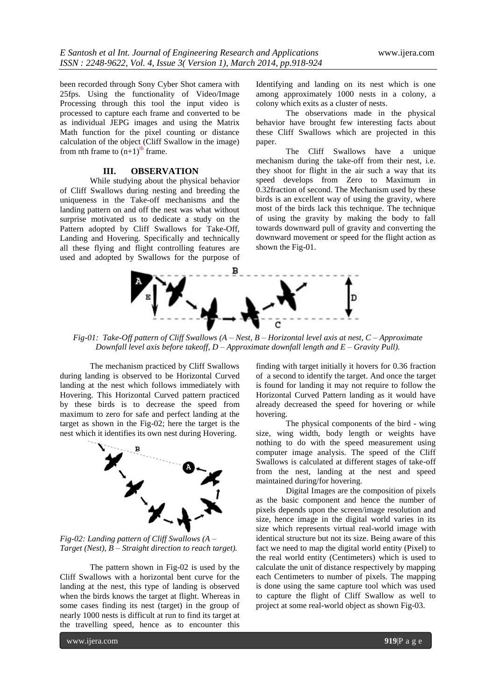been recorded through Sony Cyber Shot camera with 25fps. Using the functionality of Video/Image Processing through this tool the input video is processed to capture each frame and converted to be as individual JEPG images and using the Matrix Math function for the pixel counting or distance calculation of the object (Cliff Swallow in the image) from nth frame to  $(n+1)$ <sup>th</sup> frame.

## **III. OBSERVATION**

While studying about the physical behavior of Cliff Swallows during nesting and breeding the uniqueness in the Take-off mechanisms and the landing pattern on and off the nest was what without surprise motivated us to dedicate a study on the Pattern adopted by Cliff Swallows for Take-Off, Landing and Hovering. Specifically and technically all these flying and flight controlling features are used and adopted by Swallows for the purpose of

Identifying and landing on its nest which is one among approximately 1000 nests in a colony, a colony which exits as a cluster of nests.

The observations made in the physical behavior have brought few interesting facts about these Cliff Swallows which are projected in this paper.

The Cliff Swallows have a unique mechanism during the take-off from their nest, i.e. they shoot for flight in the air such a way that its speed develops from Zero to Maximum in 0.32fraction of second. The Mechanism used by these birds is an excellent way of using the gravity, where most of the birds lack this technique. The technique of using the gravity by making the body to fall towards downward pull of gravity and converting the downward movement or speed for the flight action as shown the Fig-01.



*Fig-01: Take-Off pattern of Cliff Swallows (A – Nest, B – Horizontal level axis at nest, C – Approximate Downfall level axis before takeoff, D – Approximate downfall length and E – Gravity Pull).*

The mechanism practiced by Cliff Swallows during landing is observed to be Horizontal Curved landing at the nest which follows immediately with Hovering. This Horizontal Curved pattern practiced by these birds is to decrease the speed from maximum to zero for safe and perfect landing at the target as shown in the Fig-02; here the target is the nest which it identifies its own nest during Hovering.



*Fig-02: Landing pattern of Cliff Swallows (A – Target (Nest), B – Straight direction to reach target).*

The pattern shown in Fig-02 is used by the Cliff Swallows with a horizontal bent curve for the landing at the nest, this type of landing is observed when the birds knows the target at flight. Whereas in some cases finding its nest (target) in the group of nearly 1000 nests is difficult at run to find its target at the travelling speed, hence as to encounter this

finding with target initially it hovers for 0.36 fraction of a second to identify the target. And once the target is found for landing it may not require to follow the Horizontal Curved Pattern landing as it would have already decreased the speed for hovering or while hovering.

The physical components of the bird - wing size, wing width, body length or weights have nothing to do with the speed measurement using computer image analysis. The speed of the Cliff Swallows is calculated at different stages of take-off from the nest, landing at the nest and speed maintained during/for hovering.

Digital Images are the composition of pixels as the basic component and hence the number of pixels depends upon the screen/image resolution and size, hence image in the digital world varies in its size which represents virtual real-world image with identical structure but not its size. Being aware of this fact we need to map the digital world entity (Pixel) to the real world entity (Centimeters) which is used to calculate the unit of distance respectively by mapping each Centimeters to number of pixels. The mapping is done using the same capture tool which was used to capture the flight of Cliff Swallow as well to project at some real-world object as shown Fig-03.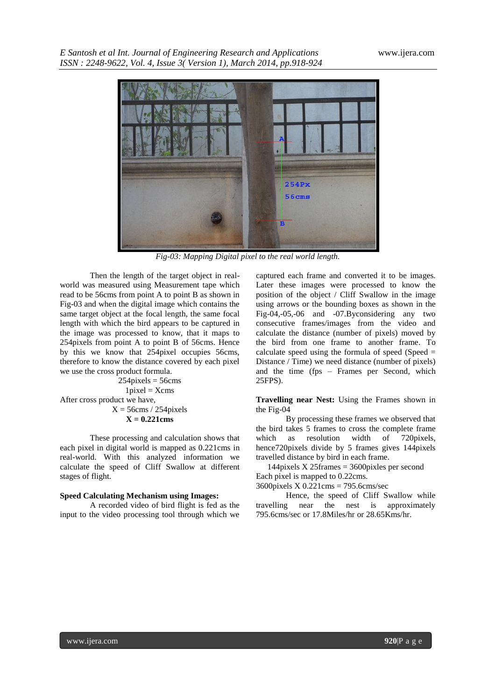

*Fig-03: Mapping Digital pixel to the real world length.*

Then the length of the target object in realworld was measured using Measurement tape which read to be 56cms from point A to point B as shown in Fig-03 and when the digital image which contains the same target object at the focal length, the same focal length with which the bird appears to be captured in the image was processed to know, that it maps to 254pixels from point A to point B of 56cms. Hence by this we know that 254pixel occupies 56cms, therefore to know the distance covered by each pixel we use the cross product formula.

 $254$ pixels =  $56$ cms  $1$ pixel =  $X$ cms After cross product we have,  $X = 56$ cms / 254 pixels **X = 0.221cms**

These processing and calculation shows that each pixel in digital world is mapped as 0.221cms in real-world. With this analyzed information we calculate the speed of Cliff Swallow at different stages of flight.

#### **Speed Calculating Mechanism using Images:**

A recorded video of bird flight is fed as the input to the video processing tool through which we

captured each frame and converted it to be images. Later these images were processed to know the position of the object / Cliff Swallow in the image using arrows or the bounding boxes as shown in the Fig-04,-05,-06 and -07.Byconsidering any two consecutive frames/images from the video and calculate the distance (number of pixels) moved by the bird from one frame to another frame. To calculate speed using the formula of speed (Speed  $=$ Distance / Time) we need distance (number of pixels) and the time (fps – Frames per Second, which 25FPS).

**Travelling near Nest:** Using the Frames shown in the Fig-04

By processing these frames we observed that the bird takes 5 frames to cross the complete frame which as resolution width of 720pixels, hence720pixels divide by 5 frames gives 144pixels travelled distance by bird in each frame.

144pixels X 25frames = 3600pixles per second Each pixel is mapped to 0.22cms.

3600pixels X 0.221cms = 795.6cms/sec

Hence, the speed of Cliff Swallow while travelling near the nest is approximately 795.6cms/sec or 17.8Miles/hr or 28.65Kms/hr.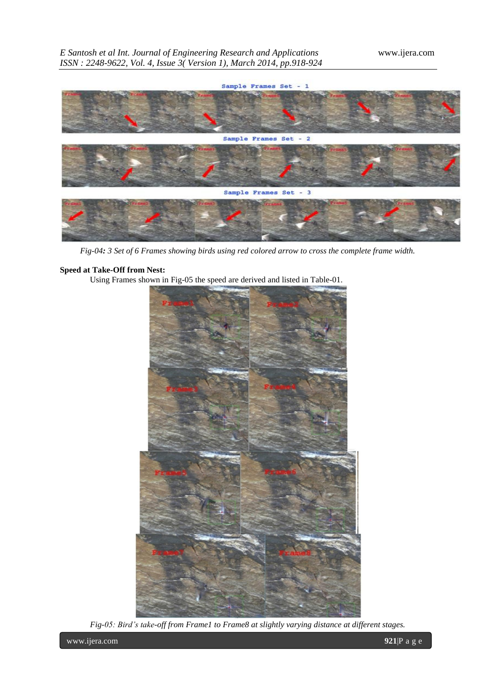

*Fig-04: 3 Set of 6 Frames showing birds using red colored arrow to cross the complete frame width.*

# **Speed at Take-Off from Nest:**

Using Frames shown in Fig-05 the speed are derived and listed in Table-01.



*Fig-05: Bird's take-off from Frame1 to Frame8 at slightly varying distance at different stages.*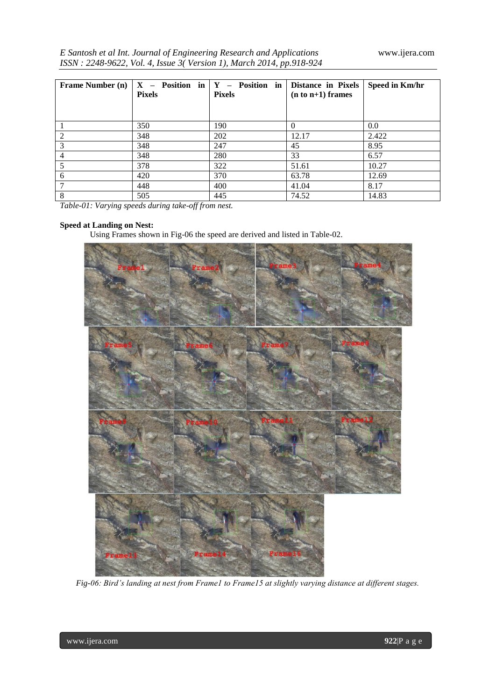|  | E Santosh et al Int. Journal of Engineering Research and Applications |
|--|-----------------------------------------------------------------------|
|  | ISSN: 2248-9622, Vol. 4, Issue 3(Version 1), March 2014, pp.918-924   |

| <b>Frame Number (n)</b> | <b>Pixels</b> | $X$ – Position in $Y$ – Position in<br><b>Pixels</b> | <b>Distance in Pixels</b><br>$(n to n+1)$ frames | Speed in Km/hr |
|-------------------------|---------------|------------------------------------------------------|--------------------------------------------------|----------------|
|                         | 350           | 190                                                  | $\Omega$                                         | 0.0            |
| $\overline{2}$          | 348           | 202                                                  | 12.17                                            | 2.422          |
| 3                       | 348           | 247                                                  | 45                                               | 8.95           |
| 4                       | 348           | 280                                                  | 33                                               | 6.57           |
|                         | 378           | 322                                                  | 51.61                                            | 10.27          |
| 6                       | 420           | 370                                                  | 63.78                                            | 12.69          |
|                         | 448           | 400                                                  | 41.04                                            | 8.17           |
| 8                       | 505           | 445                                                  | 74.52                                            | 14.83          |

*Table-01: Varying speeds during take-off from nest.*

# **Speed at Landing on Nest:**

Using Frames shown in Fig-06 the speed are derived and listed in Table-02.



*Fig-06: Bird's landing at nest from Frame1 to Frame15 at slightly varying distance at different stages.*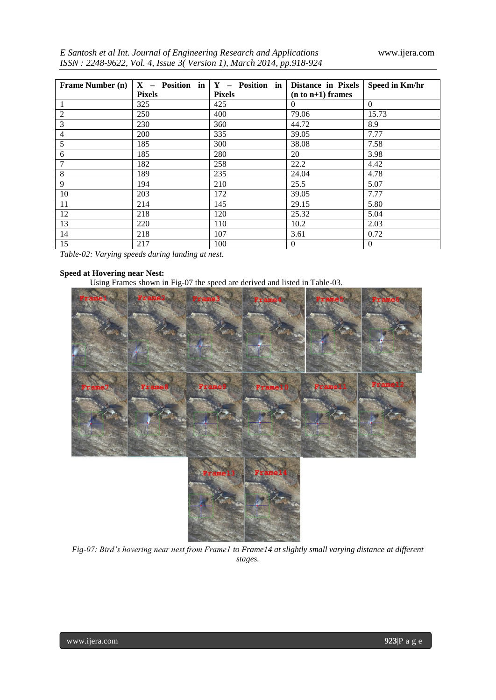| E Santosh et al Int. Journal of Engineering Research and Applications |  |  |
|-----------------------------------------------------------------------|--|--|
| ISSN : 2248-9622, Vol. 4, Issue 3(Version 1), March 2014, pp.918-924  |  |  |

| <b>Frame Number (n)</b> |               | $X$ – Position in $Y$ – Position in | Distance in Pixels  | Speed in Km/hr |
|-------------------------|---------------|-------------------------------------|---------------------|----------------|
|                         | <b>Pixels</b> | <b>Pixels</b>                       | $(n to n+1)$ frames |                |
| 1                       | 325           | 425                                 | $\Omega$            | $\Omega$       |
| $\overline{2}$          | 250           | 400                                 | 79.06               | 15.73          |
| 3                       | 230           | 360                                 | 44.72               | 8.9            |
| 4                       | 200           | 335                                 | 39.05               | 7.77           |
| 5                       | 185           | 300                                 | 38.08               | 7.58           |
| 6                       | 185           | 280                                 | 20                  | 3.98           |
| 7                       | 182           | 258                                 | 22.2                | 4.42           |
| 8                       | 189           | 235                                 | 24.04               | 4.78           |
| 9                       | 194           | 210                                 | 25.5                | 5.07           |
| 10                      | 203           | 172                                 | 39.05               | 7.77           |
| 11                      | 214           | 145                                 | 29.15               | 5.80           |
| 12                      | 218           | 120                                 | 25.32               | 5.04           |
| 13                      | 220           | 110                                 | 10.2                | 2.03           |
| 14                      | 218           | 107                                 | 3.61                | 0.72           |
| 15                      | 217           | 100                                 | $\boldsymbol{0}$    | $\overline{0}$ |

*Table-02: Varying speeds during landing at nest.*

# **Speed at Hovering near Nest:**

Using Frames shown in Fig-07 the speed are derived and listed in Table-03.



*Fig-07: Bird's hovering near nest from Frame1 to Frame14 at slightly small varying distance at different stages.*